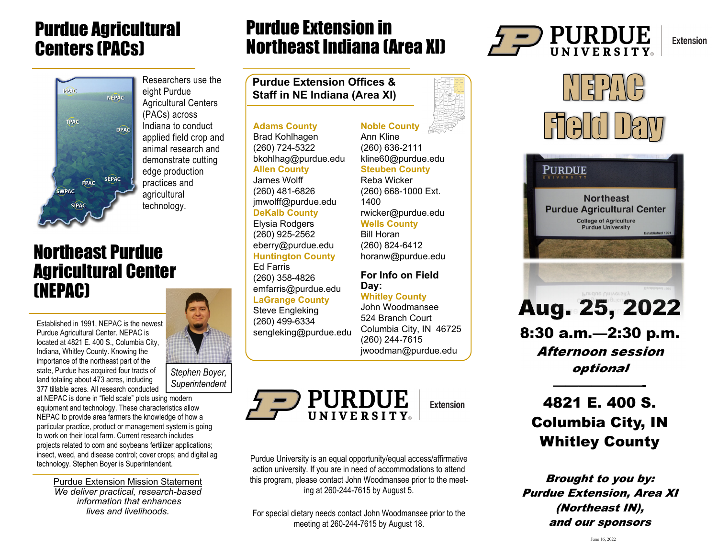## Purdue Agricultural Centers (PACs)



Researchers use the eight Purdue Agricultural Centers (PACs) across Indiana to conduct applied field crop and animal research and demonstrate cutting edge production practices and agricultural technology.

## Northeast Purdue Agricultural Center (NEPAC)

Established in 1991, NEPAC is the newest Purdue Agricultural Center. NEPAC is located at 4821 E. 400 S., Columbia City, Indiana, Whitley County. Knowing the importance of the northeast part of the state, Purdue has acquired four tracts of land totaling about 473 acres, including 377 tillable acres. All research conducted



*Stephen Boyer, Superintendent* 

at NEPAC is done in "field scale" plots using modern equipment and technology. These characteristics allow NEPAC to provide area farmers the knowledge of how a particular practice, product or management system is going to work on their local farm. Current research includes projects related to corn and soybeans fertilizer applications; insect, weed, and disease control; cover crops; and digital ag technology. Stephen Boyer is Superintendent.

Purdue Extension Mission Statement *We deliver practical, research-based information that enhances lives and livelihoods.* 

## Purdue Extension in Northeast Indiana (Area XI)

**Purdue Extension Offices & Staff in NE Indiana (Area XI)** 

### **Adams County**

Brad Kohlhagen (260) 724-5322 bkohlhag@purdue.edu **Allen County**  James Wolff (260) 481-6826

#### jmwolff@purdue.edu **DeKalb County**

Elysia Rodgers (260) 925-2562 eberry@purdue.edu **Huntington County**  Ed Farris

(260) 358-4826 emfarris@purdue.edu **LaGrange County** 

Steve Engleking (260) 499-6334 sengleking@purdue.edu

**Noble County**  Ann Kline (260) 636-2111 kline60@purdue.edu **Steuben County**  Reba Wicker (260) 668-1000 Ext. 1400 rwicker@purdue.edu **Wells County** 

Bill Horan (260) 824-6412 horanw@purdue.edu

### **For Info on Field Day:**

**Whitley County**  John Woodmansee 524 Branch Court Columbia City, IN 46725 (260) 244-7615 jwoodman@purdue.edu



**Extension** 

Purdue University is an equal opportunity/equal access/affirmative action university. If you are in need of accommodations to attend this program, please contact John Woodmansee prior to the meeting at 260-244-7615 by August 5.

For special dietary needs contact John Woodmansee prior to the meeting at 260-244-7615 by August 18.



N E PIN H  $5(3)$ 



Aug. 25, 2022 8:30 a.m.—2:30 p.m. Afternoon session optional

## 4821 E. 400 S. Columbia City, IN Whitley County

———————-

Brought to you by: Purdue Extension, Area XI (Northeast IN), and our sponsors

**Extension**